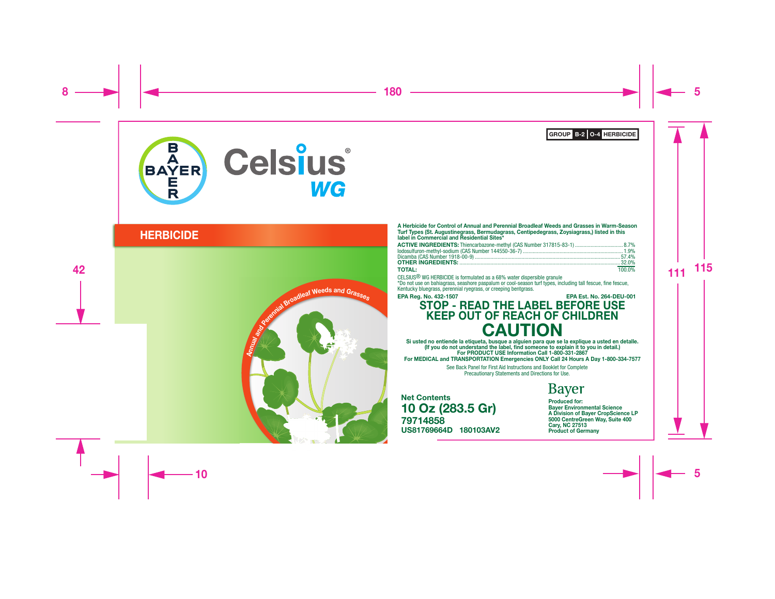

# **HERBICIDE**



A Herbicide for Control of Annual and Perennial Broadleaf Weeds and Grasses in Warm-Season Turf Types (St. Augustinegrass, Bermudagrass, Centipedegrass, Zoysiagrass,) listed in this label in Commercial and Residential Sites\*

| ACTIVE INGREDIENTS: Thiencarbazone-methyl (CAS Number 317815-83-1)  8.7% |        |
|--------------------------------------------------------------------------|--------|
|                                                                          |        |
|                                                                          |        |
|                                                                          |        |
| <b>TOTAL</b>                                                             | 100.0% |

# TOTAL: 100.0% CELSIUS® WG HERBICIDE is formulated as a 68% water dispersible granule

\*Do not use on bahiagrass, seashore paspalum or cool-season turf types, including tall fescue, fine fescue, Kentucky bluegrass, perennial ryegrass, or creeping bentgrass.

#### EPA Reg. No. 432-1507 EPA Est. No. 264-DEU-001

# STOP - READ THE LABEL BEFORE USE KEEP OUT OF REACH OF CHILDREN **CAUTION**

Si usted no entiende la etiqueta, busque a alguien para que se la explique a usted en detalle. (If you do not understand the label, find someone to explain it to you in detail.) For PRODUCT USE Information Call 1-800-331-2867 For MEDICAL and TRANSPORTATION Emergencies ONLY Call 24 Hours A Day 1-800-334-7577

> See Back Panel for First Aid Instructions and Booklet for Complete Precautionary Statements and Directions for Use.

79714858 US81769664D 180103AV2 Net Contents 10 Oz (283.5 Gr)

# **Bayer**

Produced for: Bayer Environmental Science A Division of Bayer CropScience LP 5000 CentreGreen Way, Suite 400 Cary, NC 27513 Product of Germany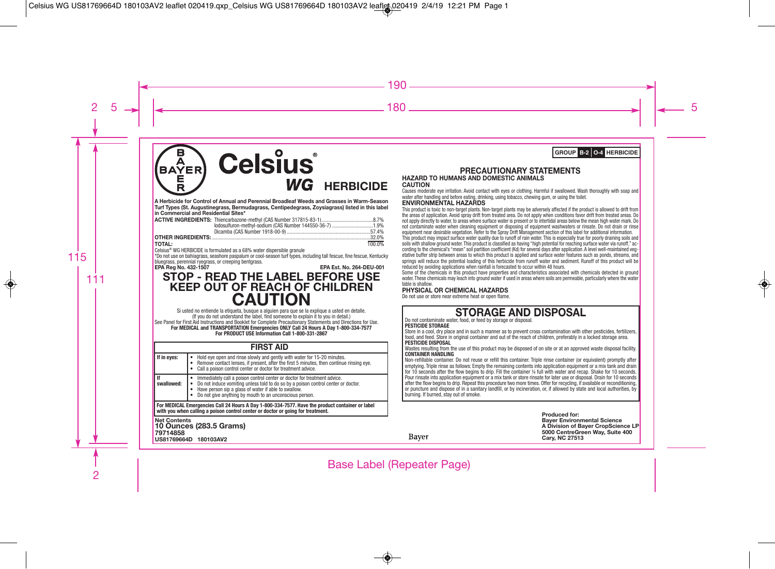### **BAYER Celsius** 틈 WG **HERBICIDE**

**A Herbicide for Control of Annual and Perennial Broadleaf Weeds and Grasses in Warm-Season Turf Types (St. Augustinegrass, Bermudagrass, Centipedegrass, Zoysiagrass) listed in this label in Commercial and Residential Sites\***

| <b>TOTAL:</b> |                                                                                    | 100.0% |
|---------------|------------------------------------------------------------------------------------|--------|
|               | Celsius <sup>®</sup> WG HERBICIDE is formulated as a 68% water dispersible granule |        |

\*Do not use on bahiagrass, seashore paspalum or cool-season turf types, including tall fescue, fine fescue, Kentucky bluegrass, perennial ryegrass, or creeping bentgrass.<br>EPA Reg No. 432-1507

**EPA Reg No. 432-1507 EPA Est. No. 264-DEU-001**

# **STOP - READ THE LABEL BEFORE USE KEEP OUT OF REACH OF CHILDREN**

**CAUTION** Si usted no entiende la etiqueta, busque <sup>a</sup> alguien para que se la explique <sup>a</sup> usted en detalle. (If you do not understand the label, find someone to explain it to you in detail.) See Panel for First Aid Instructions and Booklet for Complete Precautionary Statements and Directions for Use. **For MEDICAL and TRANSPORTATION Emergencies ONLY Call 24 Hours A Day 1-800-334-7577 For PRODUCT USE Information Call 1-800-331-2867**

### **FIRST AID**

| I If in eves:                                                                                                                                                                      | Hold eve open and rinse slowly and gently with water for 15-20 minutes.<br>Remove contact lenses, if present, after the first 5 minutes, then continue rinsing eye.<br>Call a poison control center or doctor for treatment advice.                                                |  |  |
|------------------------------------------------------------------------------------------------------------------------------------------------------------------------------------|------------------------------------------------------------------------------------------------------------------------------------------------------------------------------------------------------------------------------------------------------------------------------------|--|--|
| . If<br>swallowed:                                                                                                                                                                 | Immediately call a poison control center or doctor for treatment advice.<br>Do not induce vomiting unless told to do so by a poison control center or doctor.<br>Have person sip a glass of water if able to swallow.<br>• Do not give anything by mouth to an unconscious person. |  |  |
| For MEDICAL Emergencies Call 24 Hours A Day 1-800-334-7577. Have the product container or label<br>with you when calling a poison control center or doctor or going for treatment. |                                                                                                                                                                                                                                                                                    |  |  |

**Net Contents 10 Ounces (283.5 Grams) <sup>79714858</sup> US81769664D 180103AV2**

#### **PRECAUTIONARY STATEMENTS HAZARD TO HUMANS AND DOMESTIC ANIMALS CAUTION**

Causes moderate eye irritation. Avoid contact with eyes or clothing. Harmful if swallowed. Wash thoroughly with soap and water after handling and before eating, drinking, using tobacco, chewing gum, or using the toilet.

#### **ENVIRONMENTAL HAZARDS**

This product is toxic to non-target plants. Non-target plants may be adversely affected if the product is allowed to drift from the areas of application. Avoid spray drift from treated area. Do not apply when conditions favor drift from treated areas. Do not apply directly to water, to areas where surface water is present or to intertidal areas below the mean high water mark. Do not contaminate water when cleaning equipment or disposing of equipment washwaters or rinsate. Do not drain or rinse equipment near desirable vegetation. Refer to the Spray Drift Management section of this label for additional information.

This product may impact surface water quality due to runoff of rain water. This is especially true for poorly draining soils and soils with shallow ground water. This product is classified as having "high potential for reaching surface water via runoff," according to the chemical's "mean" soil partition coefficient (Kd) for several days after application. A level well-maintained vegetative buffer strip between areas to which this product is applied and surface water features such as ponds, streams, and springs will reduce the potential loading of this herbicide from runoff water and sediment. Runoff of this product will be reduced by avoiding applications when rainfall is forecasted to occur within 48 hours.

Some of the chemicals in this product have properties and characteristics associated with chemicals detected in ground water. These chemicals may leach into ground water if used in areas where soils are permeable, particularly where the water table is shallow.

#### **PHYSICAL OR CHEMICAL HAZARDS**

Do not use or store near extreme heat or open flame.

# **STORAGE AND DISPOSAL** Do not contaminate water, food, or feed by storage or disposal.

#### **PESTICIDE STORAGE**

Baver

Store in a cool, dry place and in such a manner as to prevent cross contamination with other pesticides, fertilizers, food, and feed. Store in original container and out of the reach of children, preferably in a locked storage area. **PESTICIDE DISPOSAL**

Wastes resulting from the use of this product may be disposed of on site or at an approved waste disposal facility. **CONTAINER HANDLING**

Non-refillable container. Do not reuse or refill this container. Triple rinse container (or equivalent) promptly after emptying. Triple rinse as follows: Empty the remaining contents into application equipment or a mix tank and drain for 10 seconds after the flow begins to drip. Fill the container ¼ full with water and recap. Shake for 10 seconds. Pour rinsate into application equipment or a mix tank or store rinsate for later use or disposal. Drain for 10 seconds after the flow begins to drip. Repeat this procedure two more times. Offer for recycling, if available or reconditioning, or puncture and dispose of in a sanitary landfill, or by incineration, or, if allowed by state and local authorities, by burning. If burned, stay out of smoke.

> **Produced for: Bayer Environmental Science A Division of Bayer CropScience LP 5000 CentreGreen Way, Suite 400 Cary, NC 27513**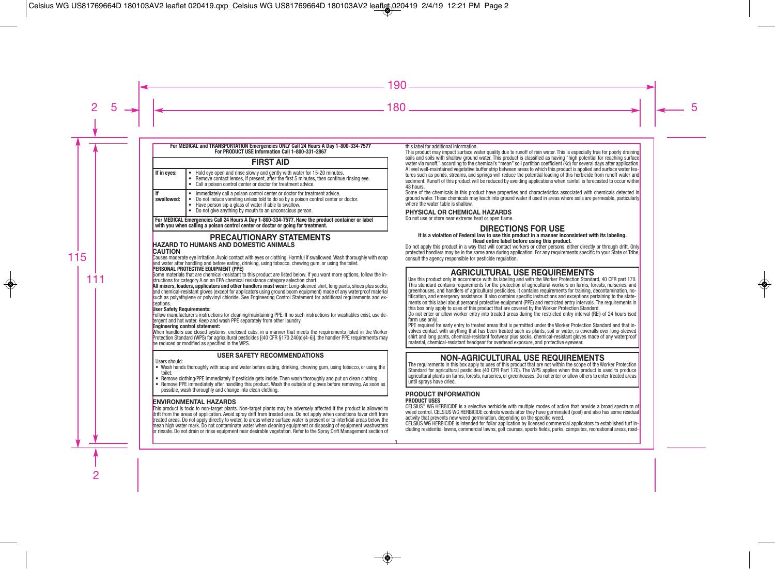#### **For MEDICAL and TRANSPORTATION Emergencies ONLY Call 24 Hours A Day 1-800-334-7577 For PRODUCT USE Information Call 1-800-331-2867**

### **FIRST AID**

| If in eyes:      | Hold eye open and rinse slowly and gently with water for 15-20 minutes.<br>Remove contact lenses, if present, after the first 5 minutes, then continue rinsing eye.<br>Call a poison control center or doctor for treatment advice.                                              |
|------------------|----------------------------------------------------------------------------------------------------------------------------------------------------------------------------------------------------------------------------------------------------------------------------------|
| lf<br>swallowed: | Immediately call a poison control center or doctor for treatment advice.<br>Do not induce vomiting unless told to do so by a poison control center or doctor.<br>Have person sip a glass of water if able to swallow.<br>Do not give anything by mouth to an unconscious person. |

**For MEDICAL Emergencies Call 24 Hours A Day 1-800-334-7577. Have the product container or label with you when calling a poison control center or doctor or going for treatment.**

## **PRECAUTIONARY STATEMENTS HAZARD TO HUMANS AND DOMESTIC ANIMALS**

Causes moderate eye irritation. Avoid contact with eyes or clothing. Harmful if swallowed.Wash thoroughly with soap and water after handling and before eating, drinking, using tobacco, chewing gum, or using the toilet.

#### **PERSONAL PROTECTIVE EQUIPMENT (PPE)**

Some materials that are chemical-resistant to this product are listed below. If you want more options, follow the in structions for category A on an EPA chemical resistance category selection chart.

**All mixers, loaders, applicators and other handlers must wear:** Long-sleeved shirt, long pants, shoes plus socks, and chemical-resistant gloves (except for applicators using ground boom equipment) made of any waterproof material such as polyethylene or polyvinyl chloride. See Engineering Control Statement for additional requirements and ex**ceptions** 

#### **User Safety Requirements:**

Follow manufacturer's instructions for cleaning/maintaining PPE. If no such instructions for washables exist, use detergent and hot water. Keep and wash PPE separately from other laundry.

#### **Engineering control statement:**

When handlers use closed systems, enclosed cabs, in a manner that meets the requirements listed in the Worker Protection Standard (WPS) for agricultural pesticides [(40 CFR §170.240(d)(4-6)], the handler PPE requirements may be reduced or modified as specified in the WPS.

### **USER SAFETY RECOMMENDATIONS**

#### Users should:

**CAUTION** 

- Wash hands thoroughly with soap and water before eating, drinking, chewing gum, using tobacco, or using the toilet.
- Remove clothing/PPE immediately if pesticide gets inside. Then wash thoroughly and put on clean clothing.
- Remove PPE immediately after handling this product. Wash the outside of gloves before removing. As soon as possible, wash thoroughly and change into clean clothing.

### **ENVIRONMENTAL HAZARDS**

This product is toxic to non-target plants. Non-target plants may be adversely affected if the product is allowed to drift from the areas of application. Avoid spray drift from treated area. Do not apply when conditions favor drift from treated areas. Do not apply directly to water, to areas where surface water is present or to intertidal areas below the mean high water mark. Do not contaminate water when cleaning equipment or disposing of equipment washwaters or rinsate. Do not drain or rinse equipment near desirable vegetation. Refer to the Spray Drift Management section of this label for additional information.

This product may impact surface water quality due to runoff of rain water. This is especially true for poorly draining soils and soils with shallow ground water. This product is classified as having "high potential for reaching surface water via runoff," according to the chemical's "mean" soil partition coefficient (Kd) for several days after application. A level well-maintained vegetative buffer strip between areas to which this product is applied and surface water features such as ponds, streams, and springs will reduce the potential loading of this herbicide from runoff water and sediment. Runoff of this product will be reduced by avoiding applications when rainfall is forecasted to occur within 48 hours.

Some of the chemicals in this product have properties and characteristics associated with chemicals detected in ground water. These chemicals may leach into ground water if used in areas where soils are permeable, particularly where the water table is shallow.

### **PHYSICAL OR CHEMICAL HAZARDS**

Do not use or store near extreme heat or open flame.

### **DIRECTIONS FOR USE**<br>It is a violation of Federal law to use this product in a manner inconsistent with its labeling. **Read entire label before using this product.**

Do not apply this product in a way that will contact workers or other persons, either directly or through drift. Only protected handlers may be in the same area during application. For any requirements specific to your State or Tribe, consult the agency responsible for pesticide regulation.

# **AGRICULTURAL USE REQUIREMENTS**<br>Use this product only in accordance with its labeling and with the Worker Protection Standard, 40 CFR part 170.

This standard contains requirements for the protection of agricultural workers on farms, forests, nurseries, and greenhouses, and handlers of agricultural pesticides. It contains requirements for training, decontamination, notification, and emergency assistance. It also contains specific instructions and exceptions pertaining to the statements on this label about personal protective equipment (PPE) and restricted entry intervals. The requirements in this box only apply to uses of this product that are covered by the Worker Protection Standard.

Do not enter or allow worker entry into treated areas during the restricted entry interval (REI) of 24 hours (sod farm use only).

PPE required for early entry to treated areas that is permitted under the Worker Protection Standard and that involves contact with anything that has been treated such as plants, soil or water, is coveralls over long-sleeved shirt and long pants, chemical-resistant footwear plus socks, chemical-resistant gloves made of any waterproof material, chemical-resistant headgear for overhead exposure, and protective eyewear.

# **NON-AGRICULTURAL USE REQUIREMENTS** The requirements in this box apply to uses of this product that are not within the scope of the Worker Protection

Standard for agricultural pesticides (40 CFR Part 170). The WPS applies when this product is used to produce agricultural plants on farms, forests, nurseries, or greenhouses. Do not enter or allow others to enter treated areas until sprays have dried.

# **PRODUCT INFORMATION PRODUCT USES**

CELSIUS® WG HERBICIDE is a selective herbicide with multiple modes of action that provide a broad spectrum of weed control. CELSIUS WG HERBICIDE controls weeds after they have germinated (post) and also has some residual activity that prevents new weed germination, depending on the specific weed.

CELSIUS WG HERBICIDE is intended for foliar application by licensed commercial applicators to established turf in cluding residential lawns, commercial lawns, golf courses, sports fields, parks, campsites, recreational areas, road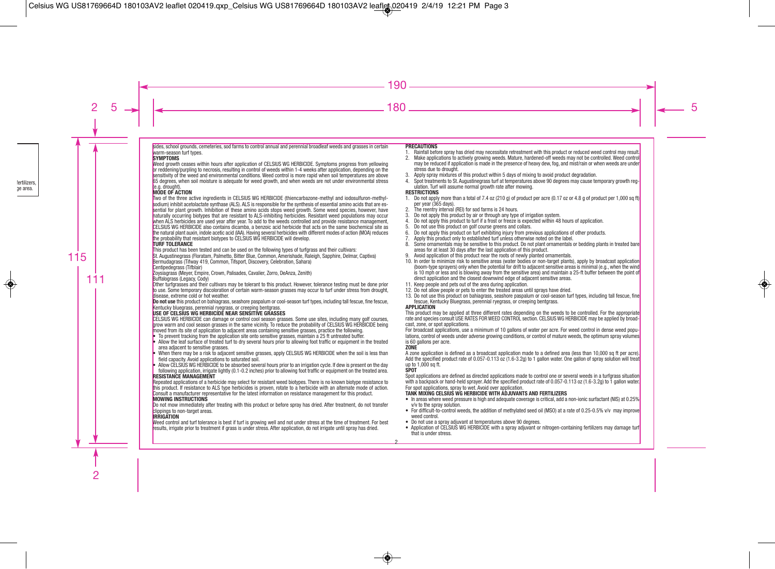sides, school grounds, cemeteries, sod farms to control annual and perennial broadleaf weeds and grasses in certain warm-season turf types.

#### **SYMPTOMS**

Weed growth ceases within hours after application of CELSIUS WG HERBICIDE. Symptoms progress from vellowing or reddening/purpling to necrosis, resulting in control of weeds within 1-4 weeks after application, depending on the sensitivity of the weed and environmental conditions. Weed control is more rapid when soil temperatures are above 65 degrees, when soil moisture is adequate for weed growth, and when weeds are not under environmental stress (e.g. drought).

#### **MODE OF ACTION**

Two of the three active ingredients in CELSIUS WG HERBICIDE (thiencarbazone-methyl and iodosulfuron-methylsodium) inhibit acetolactate synthase (ALS). ALS is responsible for the synthesis of essential amino acids that are essential for plant growth. Inhibition of these amino acids stops weed growth. Some weed species, however, have naturally occurring biotypes that are resistant to ALS-inhibiting herbicides. Resistant weed populations may occur when ALS herbicides are used year after year. To add to the weeds controlled and provide resistance management, CELSIUS WG HERBICIDE also contains dicamba, a benzoic acid herbicide that acts on the same biochemical site as the natural plant auxin, indole acetic acid (IAA). Having several herbicides with different modes of action (MOA) reduces the probability that resistant biotypes to CELSIUS WG HERBICIDE will develop.

#### **TURF TOLERANCE**

This product has been tested and can be used on the following types of turfgrass and their cultivars:

St. Augustinegrass (Floratam, Palmetto, Bitter Blue, Common, Amerishade, Raleigh, Sapphire, Delmar, Captiva) Bermudagrass (Tifway 419, Common, Tifsport, Discovery, Celebration, Sahara)

#### Centipedegrass (Tifblair)

Zoysiagrass (Meyer, Empire, Crown, Palisades, Cavalier, Zorro, DeAnza, Zenith)

Buffalograss (Legacy, Cody)

Other turfgrasses and their cultivars may be tolerant to this product. However, tolerance testing must be done prior to use. Some temporary discoloration of certain warm-season grasses may occur to turf under stress from drought, disease, extreme cold or hot weather.

**Do not use** this product on bahiagrass, seashore paspalum or cool-season turf types, including tall fescue, fine fescue, Kentucky bluegrass, perennial ryegrass, or creeping bentgrass.

#### **USE OF CELSIUS WG HERBICIDE NEAR SENSITIVE GRASSES**

CELSIUS WG HERBICIDE can damage or control cool season grasses. Some use sites, including many golf courses, grow warm and cool season grasses in the same vicinity. To reduce the probability of CELSIUS WG HERBICIDE being moved from its site of application to adjacent areas containing sensitive grasses, practice the following.

- To prevent tracking from the application site onto sensitive grasses, maintain a 25 ft untreated buffer.
- Allow the leaf surface of treated turf to dry several hours prior to allowing foot traffic or equipment in the treated area adjacent to sensitive grasses.
- When there may be a risk to adjacent sensitive grasses, apply CELSIUS WG HERBICIDE when the soil is less than field capacity. Avoid applications to saturated soil.
- Allow CELSIUS WG HERBICIDE to be absorbed several hours prior to an irrigation cycle. If dew is present on the day following application, irrigate lightly (0.1-0.2 inches) prior to allowing foot traffic or equipment on the treated area.

#### **RESISTANCE MANAGEMENT**

Repeated applications of a herbicide may select for resistant weed biotypes. There is no known biotype resistance to this product. If resistance to ALS type herbicides is proven, rotate to a herbicide with an alternate mode of action. Consult a manufacturer representative for the latest information on resistance management for this product.

#### **MOWING INSTRUCTIONS**

Do not mow immediately after treating with this product or before spray has dried. After treatment, do not transfer clippings to non-target areas.

#### **IRRIGATION**

Weed control and turf tolerance is best if turf is growing well and not under stress at the time of treatment. For best results, irrigate prior to treatment if grass is under stress. After application, do not irrigate until spray has dried.

#### **PRECAUTIONS**

- 1. Rainfall before spray has dried may necessitate retreatment with this product or reduced weed control may result.
- 2. Make applications to actively growing weeds. Mature, hardened-off weeds may not be controlled. Weed control may be reduced if application is made in the presence of heavy dew, fog, and mist/rain or when weeds are under stress due to drought.
- 3. Apply spray mixtures of this product within 5 days of mixing to avoid product degradation.
- 4. Spot treatments to St. Augustinegrass turf at temperatures above 90 degrees may cause temporary growth regulation. Turf will assume normal growth rate after mowing.

#### **RESTRICTIONS**

- 1. Do not apply more than a total of 7.4 oz (210 g) of product per acre (0.17 oz or 4.8 g of product per 1,000 sq ft) per year (365 days).
- 2. The reentry interval (REI) for sod farms is 24 hours.<br>3. Do not apply this product by air or through any type
- 3. Do not apply this product by air or through any type of irrigation system.<br>4. Do not apply this product to turf if a frost or freeze is expected within 48
- 4. Do not apply this product to turf if a frost or freeze is expected within 48 hours of application.
- 5. Do not use this product on golf course greens and collars.<br>6. Do not apply this product on turf exhibiting injury from pre
- 6. Do not apply this product on turf exhibiting injury from previous applications of other products.
- 7. Apply this product only to established turf unless otherwise noted on the label.
- Some ornamentals may be sensitive to this product. Do not plant ornamentals or bedding plants in treated bare areas for at least 30 days after the last application of this product.
- 9. Avoid application of this product near the roots of newly planted ornamentals.
- 10. In order to minimize risk to sensitive areas (water bodies or non-target plants), apply by broadcast application (boom-type sprayers) only when the potential for drift to adjacent sensitive areas is minimal (e.g., when the wind is 10 mph or less and is blowing away from the sensitive area) and maintain a 25-ft buffer between the point of direct application and the closest downwind edge of adjacent sensitive areas.
- 11. Keep people and pets out of the area during application.
- 12. Do not allow people or pets to enter the treated areas until sprays have dried.
- 13. Do not use this product on bahiagrass, seashore paspalum or cool-season turf types, including tall fescue, fine fescue, Kentucky Bluegrass, perennial ryegrass, or creeping bentgrass.

#### **APPLICATION**

This product may be applied at three different rates depending on the weeds to be controlled. For the appropriate rate and species consult USE RATES FOR WEED CONTROL section. CELSIUS WG HERBICIDE may be applied by broadcast, zone, or spot applications.

For broadcast applications, use a minimum of 10 gallons of water per acre. For weed control in dense weed populations, control of weeds under adverse growing conditions, or control of mature weeds, the optimum spray volumes is 60 gallons per acre.

#### **ZONE**

A zone application is defined as a broadcast application made to a defined area (less than 10,000 sq ft per acre). Add the specified product rate of 0.057-0.113 oz (1.6-3.2g) to 1 gallon water. One gallon of spray solution will treat up to 1,000 sq ft.

#### **SPOT**

Spot applications are defined as directed applications made to control one or several weeds in a turfgrass situation with a backpack or hand-held sprayer. Add the specified product rate of 0.057-0.113 oz (1.6-3.2g) to 1 gallon water. For spot applications, spray to wet. Avoid over application.

#### **TANK MIXING CELSIUS WG HERBICIDE WITH ADJUVANTS AND FERTILIZERS**

- In areas where weed pressure is high and adequate coverage is critical, add a non-ionic surfactant (NIS) at 0.25% v/v to the spray solution.
- For difficult-to-control weeds, the addition of methylated seed oil (MSO) at a rate of 0.25-0.5% v/v may improve weed control.
- Do not use a spray adjuvant at temperatures above 90 degrees.
- Application of CELSIUS WG HERBICIDE with a spray adjuvant or nitrogen-containing fertilizers may damage turf that is under stress.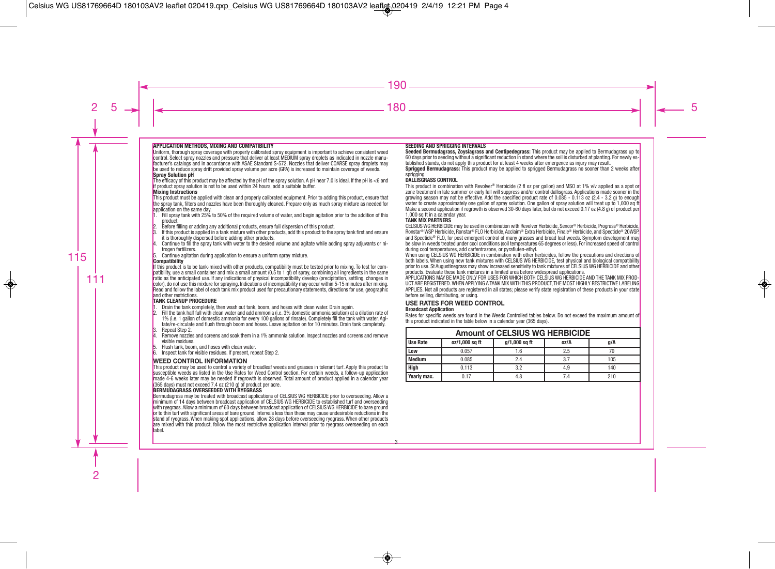#### **APPLICATION METHODS, MIXING AND COMPATIBILITY**

Uniform, thorough spray coverage with properly calibrated spray equipment is important to achieve consistent weed control. Select spray nozzles and pressure that deliver at least MEDIUM spray droplets as indicated in nozzle manufacturer's catalogs and in accordance with ASAE Standard S-572. Nozzles that deliver COARSE spray droplets may be used to reduce spray drift provided spray volume per acre (GPA) is increased to maintain coverage of weeds. **Spray Solution pH**

The efficacy of this product may be affected by the pH of the spray solution. A pH near 7.0 is ideal. If the pH is <6 and if product spray solution is not to be used within 24 hours, add a suitable buffer.

#### **Mixing Instructions**

This product must be applied with clean and properly calibrated equipment. Prior to adding this product, ensure that the spray tank, filters and nozzles have been thoroughly cleaned. Prepare only as much spray mixture as needed for application on the same day.

- $1.$  Fill spray tank with 25% to 50% of the required volume of water, and begin agitation prior to the addition of this product.
- 2. Before filling or adding any additional products, ensure full dispersion of this product.<br>3. If this product is annlied in a tank mixture with other products, add this product to the
- If this product is applied in a tank mixture with other products, add this product to the spray tank first and ensure it is thoroughly dispersed before adding other products.
- 4. Continue to fill the spray tank with water to the desired volume and agitate while adding spray adjuvants or ni trogen fertilizers.
- 5. Continue agitation during application to ensure a uniform spray mixture.

#### **Compatibility**

If this product is to be tank-mixed with other products, compatibility must be tested prior to mixing. To test for compatibility, use a small container and mix a small amount (0.5 to 1 qt) of spray, combining all ingredients in the same ratio as the anticipated use. If any indications of physical incompatibility develop (precipitation, settling, changes in color), do not use this mixture for spraying. Indications of incompatibility may occur within 5-15 minutes after mixing. Read and follow the label of each tank mix product used for precautionary statements, directions for use, geographic and other restrictions.

## **TANK CLEANUP PROCEDURE**

- 1. Drain the tank completely, then wash out tank, boom, and hoses with clean water. Drain again.<br>2. Fill the tank half full with clean water and add ammonia (i.e. 3% domestic ammonia solution) at
- 2. Fill the tank half full with clean water and add ammonia (i.e. 3% domestic ammonia solution) at a dilution rate of 1% (i.e. 1 gallon of domestic ammonia for every 100 gallons of rinsate). Completely fill the tank with water. Agitate/re-circulate and flush through boom and hoses. Leave agitation on for 10 minutes. Drain tank completely.
- 3. Repeat Step 2.<br>4. Remove nozzle
- 4. Remove nozzles and screens and soak them in a 1% ammonia solution. Inspect nozzles and screens and remove visible residues.
- 5. Flush tank, boom, and hoses with clean water.
- 6. Inspect tank for visible residues. If present, repeat Step 2.

#### **WEED CONTROL INFORMATION**

This product may be used to control a variety of broadleaf weeds and grasses in tolerant turf. Apply this product to susceptible weeds as listed in the Use Rates for Weed Control section. For certain weeds, a follow-up application made 4-6 weeks later may be needed if regrowth is observed. Total amount of product applied in a calendar year (365 days) must not exceed 7.4 oz (210 g) of product per acre.

#### **BERMUDAGRASS OVERSEEDED WITH RYEGRASS**

Bermudagrass may be treated with broadcast applications of CELSIUS WG HERBICIDE prior to overseeding. Allow a minimum of 14 days between broadcast application of CELSIUS WG HERBICIDE to established turf and overseeding with ryegrass. Allow a minimum of 60 days between broadcast application of CELSIUS WG HERBICIDE to bare ground or to thin turf with significant areas of bare ground. Intervals less than these may cause undesirable reductions in the stand of ryegrass. When making spot applications, allow 28 days before overseeding ryegrass. When other products are mixed with this product, follow the most restrictive application interval prior to ryegrass overseeding on each label.

#### **SEEDING AND SPRIGGING INTERVALS**

**Seeded Bermudagrass, Zoysiagrass and Centipedegrass:** This product may be applied to Bermudagrass up to 60 days prior to seeding without a significant reduction in stand where the soil is disturbed at planting. For newly established stands, do not apply this product for at least 4 weeks after emergence as injury may result.

**Sprigged Bermudagrass:** This product may be applied to sprigged Bermudagrass no sooner than 2 weeks after sprigging.

#### **DALLISGRASS CONTROL**

This product in combination with Revolver ® Herbicide (2 fl oz per gallon) and MSO at 1% v/v applied as a spot or zone treatment in late summer or early fall will suppress and/or control dallisgrass. Applications made sooner in the growing season may not be effective. Add the specified product rate of 0.085 - 0.113 oz (2.4 - 3.2 g) to enough water to create approximately one gallon of spray solution. One gallon of spray solution will treat up to 1,000 sq ft Make a second application if regrowth is observed 30-60 days later, but do not exceed 0.17 oz (4.8 g) of product per 1,000 sq ft in a calendar year.

#### **TANK MIX PARTNERS**

CELSIUS WG HERBICIDE may be used in combination with Revolver Herbicide, Sencor ® Herbicide, Prograss® Herbicide, Ronstar® WSP Herbicide, Ronstar® FLO Herbicide, Acclaim® Extra Herbicide, Finale® Herbicide, and Specticle® 20WSP, and Specticle® FLO, for post emergent control of many grasses and broad leaf weeds. Symptom development may be slow in weeds treated under cool conditions (soil temperatures 65 degrees or less). For increased speed of control during cool temperatures, add carfentrazone, or pyraflufen-ethyl.

When using CELSIUS WG HERBICIDE in combination with other herbicides, follow the precautions and directions of both labels. When using new tank mixtures with CELSIUS WG HERBICIDE, test physical and biological compatibility prior to use. St Augustinegrass may show increased sensitivity to tank mixtures of CELSIUS WG HERBICIDE and other products. Evaluate these tank mixtures in a limited area before widespread applications.

APPLICATIONS MAY BE MADE ONLY FOR USES FOR WHICH BOTH CELSIUS WG HERBICIDE AND THE TANK MIX PROD-UCT ARE REGISTERED.WHEN APPLYING A TANK MIX WITH THIS PRODUCT, THE MOST HIGHLY RESTRICTIVE LABELING APPLIES. Not all products are registered in all states; please verify state registration of these products in your state before selling, distributing, or using.

### **USE RATES FOR WEED CONTROL**

#### **Broadcast Application**

Rates for specific weeds are found in the Weeds Controlled tables below. Do not exceed the maximum amount of this product indicated in the table below in a calendar year (365 days).

| <b>Amount of CELSIUS WG HERBICIDE</b> |                                                |     |     |     |  |  |  |
|---------------------------------------|------------------------------------------------|-----|-----|-----|--|--|--|
| <b>Use Rate</b>                       | oz/1,000 sq ft<br>g/1,000 sq ft<br>oz/A<br>q/A |     |     |     |  |  |  |
| Low                                   | 0.057                                          | 1.6 | 2.5 |     |  |  |  |
| <b>Medium</b>                         | 0.085                                          | 2.4 | 3.7 | 105 |  |  |  |
| High                                  | 0.113                                          | 3.2 | 4.9 | 140 |  |  |  |
| Yearly max.                           | 0.17                                           | 4.8 | 7.4 | 210 |  |  |  |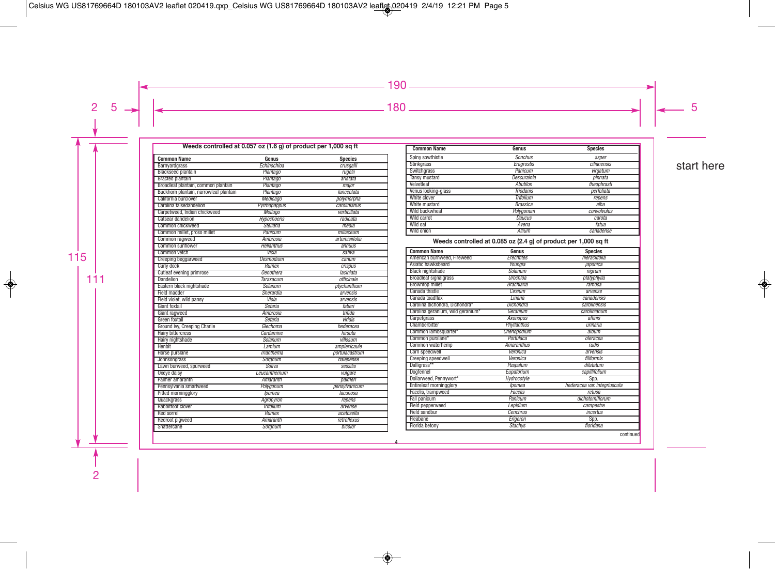#### Weeds controlled at 0.057 oz (1.6 g) of product per 1,000 sq ft

| <b>Common Name</b>                     | Genus              | <b>Species</b> |
|----------------------------------------|--------------------|----------------|
| Barnvardgrass                          | Echinochloa        | crusgalli      |
| <b>Blackseed plantain</b>              | Plantago           | rugelii        |
| <b>Bracted plantain</b>                | Plantago           | aristata       |
| Broadleaf plantain, common plantain    | Plantago           | major          |
| Buckhorn plantain, narrowleaf plantain | Plantago           | lanceolata     |
| California burclover                   | Medicago           | polymorpha     |
| Carolina falsedandelion                | Pyrrhopappus       | carolinianus   |
| Carpetweed, Indian chickweed           | Mollugo            | verticillata   |
| <b>Catsear dandelion</b>               | <b>Hypochoeris</b> | radicata       |
| Common chickweed                       | Stellaria          | media          |
| Common millet, proso millet            | Panicum            | miliaceum      |
| Common ragweed                         | Ambrosia           | artemisiifolia |
| Common sunflower                       | <b>Helianthus</b>  | annuus         |
| Common vetch                           | Vicia              | sativa         |
| <b>Creeping beggarweed</b>             | <b>Desmodium</b>   | canum          |
| Curly dock                             | Rumex              | crispus        |
| <b>Cutleaf evening primrose</b>        | <b>Oenothera</b>   | laciniata      |
| <b>Dandelion</b>                       | <b>Taraxacum</b>   | officinale     |
| Eastern black nightshade               | Solanum            | ptychanthum    |
| Field madder                           | Sherardia          | arvensis       |
| Field violet, wild pansy               | Viola              | arvensis       |
| Giant foxtail                          | Setaria            | faberi         |
| Giant ragweed                          | Ambrosia           | trifida        |
| Green foxtail                          | Setaria            | viridis        |
| Ground ivy, Creeping Charlie           | Glechoma           | hederacea      |
| <b>Hairy bittercress</b>               | Cardamine          | hirsuta        |
| <b>Hairy nightshade</b>                | Solanum            | villosum       |
| Henbit                                 | Lamium             | amplexicaule   |
| Horse purslane                         | Trianthema         | portulacastrum |
| <b>Johnsongrass</b>                    | Sorghum            | halepense      |
| Lawn burweed, spurweed                 | Soliva             | sessilis       |
| Oxeye daisy                            | Leucanthemum       | vulgare        |
| Palmer amaranth                        | Amaranth           | palmeri        |
| Pennsylvania smartweed                 | Polygonum          | pensylvanicum  |
| Pitted morningglory                    | Ipomea             | lacunosa       |
| Quackgrass                             | Agropyron          | repens         |
| Rabbitfoot clover                      | Trifolium          | arvense        |
| Red sorrel                             | Rumex              | acetosella     |
| Redroot pigweed                        | Amaranth           | retroflexus    |
| Shattercane                            | Sorghum            | bicolor        |

| <b>Common Name</b>   | Genus            | <b>Species</b> |
|----------------------|------------------|----------------|
| Spiny sowthistle     | <b>Sonchus</b>   | asper          |
| <b>Stinkarass</b>    | Eragrostis       | cilianensis    |
| Switchgrass          | Panicum          | virgatum       |
| <b>Tansy mustard</b> | Descurainia      | pinnata        |
| Velvetleaf           | Abutilon         | theophrasti    |
| Venus looking-glass  | Triodanis        | perfoliata     |
| White clover         | <b>Trifolium</b> | repens         |
| White mustard        | <b>Brassica</b>  | alba           |
| Wild buckwheat       | Polygonum        | convolvulus    |
| Wild carrot          | <b>Daucus</b>    | carota         |
| Wild oat             | Avena            | fatua          |
| Wild onion           | Allium           | canadense      |

#### Weeds controlled at 0.085 oz (2.4 g) of product per 1,000 sq ft

| <b>Common Name</b>                | Genus             | <b>Species</b>               |
|-----------------------------------|-------------------|------------------------------|
| American burnweed. Fireweed       | Erechtites        | hieraciifolia                |
| Asiatic hawksbeard                | Youngia           | japonica                     |
| <b>Black nightshade</b>           | Solanum           | nigrum                       |
| <b>Broadleaf signalgrass</b>      | Urochloa          | platyphylla                  |
| <b>Browntop millet</b>            | <b>Brachiaria</b> | ramosa                       |
| Canada thistle                    | <b>Cirsium</b>    | arvense                      |
| Canada toadflax                   | Linaria           | canadensis                   |
| Carolina dichondra, Dichondra*    | Dichondra         | carolinensis                 |
| Carolina geranium, wild geranium* | Geranium          | carolinianum                 |
| Carpetgrass                       | <b>Axonopus</b>   | affinis                      |
| Chamberbitter                     | Phyllanthus       | urinaria                     |
| Common lambsquarter*              | Chenopodium       | album                        |
| Common purslane*                  | Portulaca         | oleracea                     |
| Common waterhemp                  | <b>Amaranthus</b> | rudis                        |
| Corn speedwell                    | Veronica          | arvensis                     |
| <b>Creeping speedwell</b>         | Veronica          | filiformis                   |
| Dalligrass**                      | Paspalum          | dilatatum                    |
| Dogfennel                         | Eupatorium        | capillifolium                |
| Dollarweed, Pennywort*            | Hydrocotyle       | Spp.                         |
| <b>Entireleaf morningglory</b>    | Ipomea            | hederacea var. integriuscula |
| Facelis, trampweed                | Facelis           | retusa                       |
| Fall panicum                      | Panicum           | dichotomiflorum              |
| Field pepperweed                  | Lepidium          | campestre                    |
| Field sandbur                     | Cenchrus          | <i>incertus</i>              |
| Fleabane                          | Erigeron          | Spp.                         |
| Florida betony                    | Stachys           | floridana                    |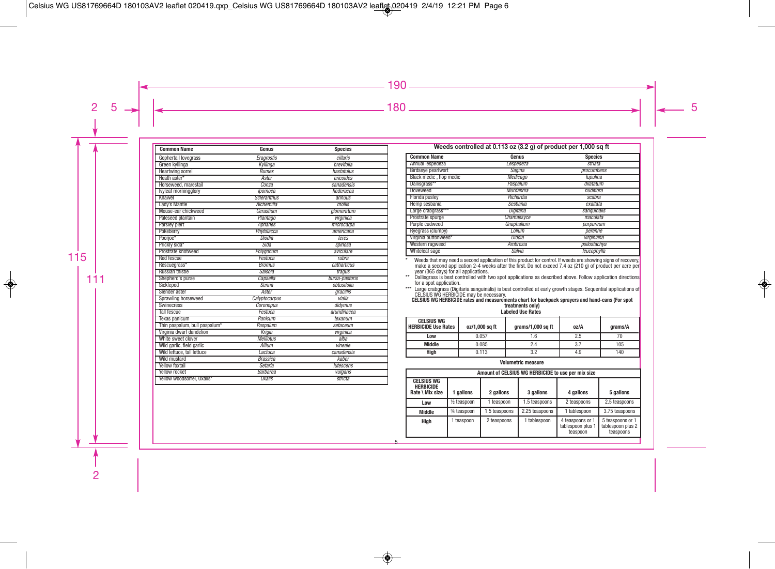| <b>Common Name</b>            | Genus              | <b>Species</b> |
|-------------------------------|--------------------|----------------|
| Gophertail lovegrass          | Eragrostis         | cillaris       |
| Green kyllinga                | Kyllinga           | brevifolia     |
| <b>Heartwing sorrel</b>       | Rumex              | hastatulus     |
| Heath aster*                  | Aster              | ericoides      |
| Horseweed, marestail          | Conza              | canadensis     |
| lvyleaf morningglory          | lpomoea            | hederacea      |
| Knawel                        | <b>Scleranthus</b> | annuus         |
| Lady's Mantle                 | Alchemilla         | mollis         |
| Mouse-ear chickweed           | Cerastium          | alomeratum     |
| Paleseed plantain             | Plantago           | virginica      |
| Parsley piert                 | Aphanes            | microcarpa     |
| Pokeberry                     | Phytolacca         | americana      |
| Poorjoe*                      | Diodia             | teres          |
| Prickly sida*                 | Sida               | spinosa        |
| Prostrate knotweed            | Polygonum          | aviculare      |
| <b>Red fescue</b>             | Festuca            | rubra          |
| Rescuegrass*                  | <b>Bromus</b>      | catharticus    |
| <b>Russian thistle</b>        | Salsola            | tragus         |
| Shepherd's purse              | Capsella           | bursa-pastoris |
| Sicklepod                     | Senna              | obtusifolia    |
| Slender aster                 | Aster              | gracillis      |
| Sprawling horseweed           | Calyptocarpus      | vialis         |
| <b>Swinecress</b>             | Coronopus          | didymus        |
| <b>Tall fescue</b>            | Festuca            | arundinacea    |
| Texas panicum                 | Panicum            | texanum        |
| Thin paspalum, bull paspalum* | Paspalum           | setaceum       |
| Virginia dwarf dandelion      | Krigia             | virginica      |
| White sweet clover            | <b>Melilotus</b>   | alba           |
| Wild garlic, field garlic     | Allium             | vineale        |
| Wild lettuce, tall lettuce    | Lactuca            | canadensis     |
| <b>Wild mustard</b>           | <b>Brassica</b>    | kaber          |
| <b>Yellow foxtail</b>         | Setaria            | lutescens      |
| Yellow rocket                 | <b>Barbarea</b>    | vulgaris       |
| Yellow woodsorrel, Oxalis*    | <b>Oxalis</b>      | stricta        |

| Weeds controlled at 0.113 oz (3.2 g) of product per 1,000 sq ft |            |              |  |  |  |  |  |
|-----------------------------------------------------------------|------------|--------------|--|--|--|--|--|
| <b>Common Name</b><br><b>Species</b><br>Genus                   |            |              |  |  |  |  |  |
| Annual lespedeza                                                | Lespedeza  | striata      |  |  |  |  |  |
| Birdseye pearlwort                                              | Sagina     | procumbens   |  |  |  |  |  |
| Black medic , hop medic                                         | Medicago   | lupulina     |  |  |  |  |  |
| Dallisgrass**                                                   | Paspalum   | dilatatum    |  |  |  |  |  |
| Doveweed                                                        | Murdannia  | nudiflora    |  |  |  |  |  |
| Florida pusley                                                  | Richardia  | scabra       |  |  |  |  |  |
| Hemp sesbania                                                   | Sesbania   | exaltata     |  |  |  |  |  |
| Large crabgrass***                                              | Digitaria  | sanguinalis  |  |  |  |  |  |
| Prostrate spurge                                                | Chamaesyce | maculata     |  |  |  |  |  |
| Purple cudweed                                                  | Gnaphalium | purpureum    |  |  |  |  |  |
| Ryegrass (clumpy)                                               | Lolium     | perenne      |  |  |  |  |  |
| Virginia buttonweed*                                            | Diodia     | virginiana   |  |  |  |  |  |
| Western ragweed                                                 | Ambrosia   | psilostachya |  |  |  |  |  |
| Whiteleaf sage                                                  | Salvia     | leucophylla  |  |  |  |  |  |

Weeds that may need a second application of this product for control. If weeds are showing signs of recovery,<br>make a second application 2-4 weeks after the first. Do not exceed 7.4 oz (210 g) of product per acre per<br>year (

for a spot application.<br>Large crabgrass (Digitaria sanguinalis) is best controlled at early growth stages. Sequential applications of<br>CELSIUS WG HERBICIDE may be necessary.<br>**CELSIUS WG HERBICIDE rates and measurements char** 

| <b>CELSIUS WG</b><br><b>I HERBICIDE Use Rates</b> | oz/1.000 sa ft | grams/1,000 sq ft | oz/A | arams/A |
|---------------------------------------------------|----------------|-------------------|------|---------|
| Low                                               | 0.057          |                   | 2.5  |         |
| Middle                                            | 0.085          | 2.4               | 3.7  | 105     |
| High                                              | 0.113          |                   | 4.9  | 140     |

Volumetric measure

| Amount of CELSIUS WG HERBICIDE to use per mix size       |                |               |                |                                                   |                                                    |  |
|----------------------------------------------------------|----------------|---------------|----------------|---------------------------------------------------|----------------------------------------------------|--|
| <b>CELSIUS WG</b><br><b>HERBICIDE</b><br>Rate \ Mix size | 1 gallons      | 2 gallons     | 3 gallons      | 4 gallons                                         | 5 gallons                                          |  |
| Low                                                      | $1/2$ teaspoon | 1 teaspoon    | 1.5 teaspoons  | 2 teaspoons                                       | 2.5 teaspoons                                      |  |
| <b>Middle</b>                                            | 3⁄4 teaspoon   | 1.5 teaspoons | 2.25 teaspoons | 1 tablespoon                                      | 3.75 teaspoons                                     |  |
| High                                                     | 1 teaspoon     | 2 teaspoons   | 1 tablespoon   | 4 teaspoons or 1<br>tablespoon plus 1<br>teaspoon | 5 teaspoons or 1<br>tablespoon plus 2<br>teaspoons |  |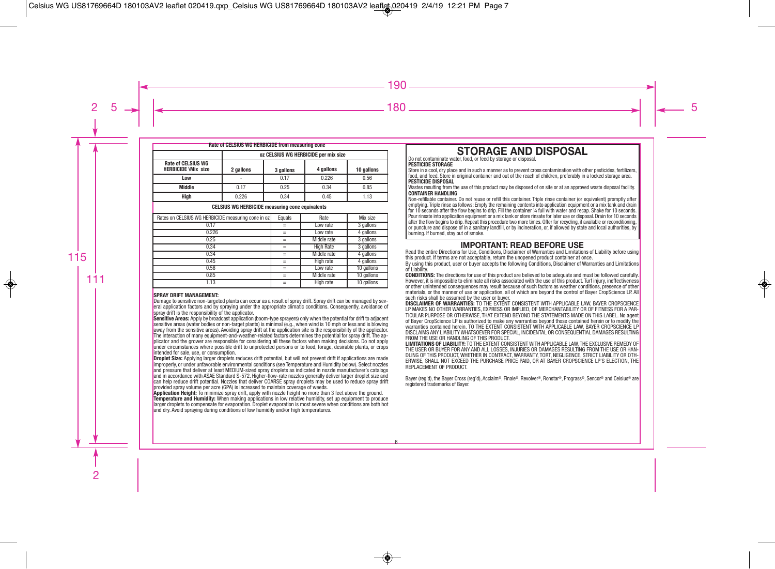| Rate of CELSIUS WG HERBICIDE from measuring cone        |                                      |           |                  |            |
|---------------------------------------------------------|--------------------------------------|-----------|------------------|------------|
|                                                         | oz CELSIUS WG HERBICIDE per mix size |           |                  |            |
| <b>Rate of CELSIUS WG</b><br><b>HERBICIDE \Mix size</b> | 2 gallons                            | 3 gallons | 4 gallons        | 10 gallons |
| Low                                                     |                                      | 0.17      | 0.226            | 0.56       |
| <b>Middle</b>                                           | 0.17                                 | 0.25      | 0.34             | 0.85       |
| High                                                    | 0.226                                | 0.34      | 0.45             | 1.13       |
| <b>CELSIUS WG HERBICIDE measuring cone equivalents</b>  |                                      |           |                  |            |
| Rates on CELSIUS WG HERBICIDE measuring cone in oz      |                                      | Equals    | Rate             | Mix size   |
| 0.17                                                    |                                      | $=$       | Low rate         | 3 gallons  |
| 0.226                                                   |                                      | $=$       | Low rate         | 4 gallons  |
| 0.25                                                    |                                      | $=$       | Middle rate      | 3 gallons  |
| 0.34                                                    |                                      | $=$       | <b>High Rate</b> | 3 gallons  |
| 0.34                                                    |                                      | $=$       | Middle rate      | 4 gallons  |
| 0.45                                                    |                                      | $=$       | High rate        | 4 gallons  |
| 0.56                                                    |                                      | $=$       | Low rate         | 10 gallons |
| 0.85                                                    |                                      | $=$       | Middle rate      | 10 gallons |
| 1.13                                                    |                                      | $=$       | High rate        | 10 gallons |

#### **SPRAY DRIFT MANAGEMENT:**

Damage to sensitive non-targeted plants can occur as a result of spray drift. Spray drift can be managed by several application factors and by spraying under the appropriate climatic conditions. Consequently, avoidance of spray drift is the responsibility of the applicator.

**Sensitive Areas:** Apply by broadcast application (boom-type sprayers) only when the potential for drift to adjacent sensitive areas (water bodies or non-target plants) is minimal (e.g., when wind is 10 mph or less and is blowing away from the sensitive areas). Avoiding spray drift at the application site is the responsibility of the applicator. The interaction of many equipment-and-weather-related factors determines the potential for spray drift. The applicator and the grower are responsible for considering all these factors when making decisions. Do not apply under circumstances where possible drift to unprotected persons or to food, forage, desirable plants, or crops intended for sale, use, or consumption.

**Droplet Size:** Applying larger droplets reduces drift potential, but will not prevent drift if applications are made improperly, or under unfavorable environmental conditions (see Temperature and Humidity below). Select nozzles and pressure that deliver at least MEDIUM-sized spray droplets as indicated in nozzle manufacturer's catalogs and in accordance with ASAE Standard S-572. Higher-flow-rate nozzles generally deliver larger droplet size and can help reduce drift potential. Nozzles that deliver COARSE spray droplets may be used to reduce spray drift provided spray volume per acre (GPA) is increased to maintain coverage of weeds.

**Application Height:** To minimize spray drift, apply with nozzle height no more than 3 feet above the ground. **Temperature and Humidity:** When making applications in low relative humidity, set up equipment to produce larger droplets to compensate for evaporation. Droplet evaporation is most severe when conditions are both hot and dry. Avoid spraying during conditions of low humidity and/or high temperatures.

# **STORAGE AND DISPOSAL** Do not contaminate water, food, or feed by storage or disposal.

#### **PESTICIDE STORAGE**

Store in a cool, dry place and in such a manner as to prevent cross contamination with other pesticides, fertilizers, food, and feed. Store in original container and out of the reach of children, preferably in a locked storage area. **PESTICIDE DISPOSAL**

Wastes resulting from the use of this product may be disposed of on site or at an approved waste disposal facility. **CONTAINER HANDLING**

Non-refillable container. Do not reuse or refill this container. Triple rinse container (or equivalent) promptly after emptying. Triple rinse as follows: Empty the remaining contents into application equipment or a mix tank and drain for 10 seconds after the flow begins to drip. Fill the container ¼ full with water and recap. Shake for 10 seconds. Pour rinsate into application equipment or a mix tank or store rinsate for later use or disposal. Drain for 10 seconds after the flow begins to drip. Repeat this procedure two more times. Offer for recycling, if available or reconditioning, or puncture and dispose of in a sanitary landfill, or by incineration, or, if allowed by state and local authorities, by burning. If burned, stay out of smoke.

**IMPORTANT: READ BEFORE USE**<br>Read the entire Directions for Use, Conditions, Disclaimer of Warranties and Limitations of Liability before using this product. If terms are not acceptable, return the unopened product container at once.

By using this product, user or buyer accepts the following Conditions, Disclaimer of Warranties and Limitations of Liability.

**CONDITIONS:** The directions for use of this product are believed to be adequate and must be followed carefully. However, it is impossible to eliminate all risks associated with the use of this product. Turf injury, ineffectiveness or other unintended consequences may result because of such factors as weather conditions, presence of other materials, or the manner of use or application, all of which are beyond the control of Bayer CropScience LP. All such risks shall be assumed by the user or buyer.

**DISCLAIMER OF WARRANTIES:** TO THE EXTENT CONSISTENT WITH APPLICABLE LAW, BAYER CROPSCIENCE LP MAKES NO OTHER WARRANTIES, EXPRESS OR IMPLIED, OF MERCHANTABILITY OR OF FITNESS FOR A PAR-TICULAR PURPOSE OR OTHERWISE, THAT EXTEND BEYOND THE STATEMENTS MADE ON THIS LABEL. No agent of Bayer CropScience LP is authorized to make any warranties beyond those contained herein or to modify the warranties contained herein. TO THE EXTENT CONSISTENT WITH APPLICABLE LAW, BAYER CROPSCIENCE LP DISCLAIMS ANY LIABILITY WHATSOEVER FOR SPECIAL, INCIDENTAL OR CONSEQUENTIAL DAMAGES RESULTING FROM THE USE OR HANDLING OF THIS PRODUCT.

**LIMITATIONS OF LIABILITY:** TO THE EXTENT CONSISTENT WITH APPLICABLE LAW, THE EXCLUSIVE REMEDY OF THE USER OR BUYER FOR ANY AND ALL LOSSES, INJURIES OR DAMAGES RESULTING FROM THE USE OR HAN-DLING OF THIS PRODUCT, WHETHER IN CONTRACT, WARRANTY, TORT, NEGLIGENCE, STRICT LIABILITY OR OTH-ERWISE, SHALL NOT EXCEED THE PURCHASE PRICE PAID, OR AT BAYER CROPSCIENCE LP'S ELECTION, THE REPLACEMENT OF PRODUCT.

Bayer (reg'd), the Bayer Cross (reg'd), Acclaim®, Finale®, Revolver®, Ronstar®, Prograss®, Sencor® and Celsius® are registered trademarks of Bayer.